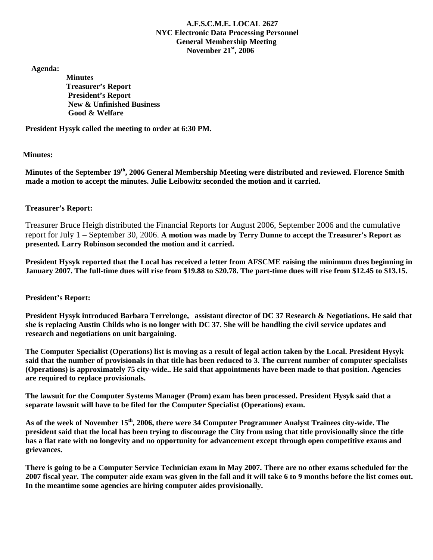## **A.F.S.C.M.E. LOCAL 2627 NYC Electronic Data Processing Personnel General Membership Meeting November 21st, 2006**

 **Agenda:** 

 **Minutes Treasurer's Report President's Report New & Unfinished Business Good & Welfare** 

**President Hysyk called the meeting to order at 6:30 PM.** 

## **Minutes:**

**Minutes of the September 19th, 2006 General Membership Meeting were distributed and reviewed. Florence Smith made a motion to accept the minutes. Julie Leibowitz seconded the motion and it carried.** 

## **Treasurer's Report:**

Treasurer Bruce Heigh distributed the Financial Reports for August 2006, September 2006 and the cumulative report for July 1 – September 30, 2006. **A motion was made by Terry Dunne to accept the Treasurer's Report as presented. Larry Robinson seconded the motion and it carried.** 

**President Hysyk reported that the Local has received a letter from AFSCME raising the minimum dues beginning in January 2007. The full-time dues will rise from \$19.88 to \$20.78. The part-time dues will rise from \$12.45 to \$13.15.** 

### **President's Report:**

**President Hysyk introduced Barbara Terrelonge, assistant director of DC 37 Research & Negotiations. He said that she is replacing Austin Childs who is no longer with DC 37. She will be handling the civil service updates and research and negotiations on unit bargaining.** 

**The Computer Specialist (Operations) list is moving as a result of legal action taken by the Local. President Hysyk said that the number of provisionals in that title has been reduced to 3. The current number of computer specialists (Operations) is approximately 75 city-wide.. He said that appointments have been made to that position. Agencies are required to replace provisionals.** 

**The lawsuit for the Computer Systems Manager (Prom) exam has been processed. President Hysyk said that a separate lawsuit will have to be filed for the Computer Specialist (Operations) exam.** 

**As of the week of November 15th, 2006, there were 34 Computer Programmer Analyst Trainees city-wide. The president said that the local has been trying to discourage the City from using that title provisionally since the title has a flat rate with no longevity and no opportunity for advancement except through open competitive exams and grievances.** 

**There is going to be a Computer Service Technician exam in May 2007. There are no other exams scheduled for the 2007 fiscal year. The computer aide exam was given in the fall and it will take 6 to 9 months before the list comes out. In the meantime some agencies are hiring computer aides provisionally.**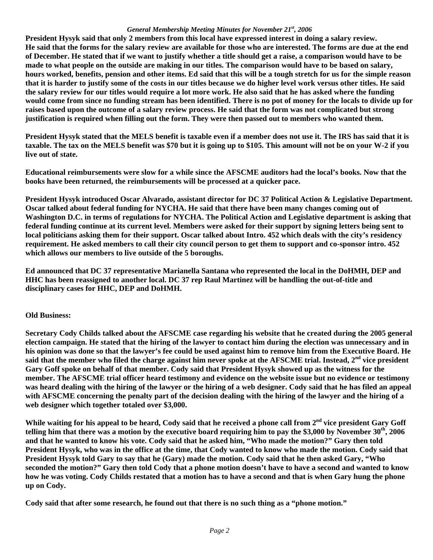#### *General Membership Meeting Minutes for November 21st, 2006*

**President Hysyk said that only 2 members from this local have expressed interest in doing a salary review. He said that the forms for the salary review are available for those who are interested. The forms are due at the end of December. He stated that if we want to justify whether a title should get a raise, a comparison would have to be made to what people on the outside are making in our titles. The comparison would have to be based on salary, hours worked, benefits, pension and other items. Ed said that this will be a tough stretch for us for the simple reason that it is harder to justify some of the costs in our titles because we do higher level work versus other titles. He said the salary review for our titles would require a lot more work. He also said that he has asked where the funding would come from since no funding stream has been identified. There is no pot of money for the locals to divide up for raises based upon the outcome of a salary review process. He said that the form was not complicated but strong justification is required when filling out the form. They were then passed out to members who wanted them.** 

**President Hysyk stated that the MELS benefit is taxable even if a member does not use it. The IRS has said that it is taxable. The tax on the MELS benefit was \$70 but it is going up to \$105. This amount will not be on your W-2 if you live out of state.** 

**Educational reimbursements were slow for a while since the AFSCME auditors had the local's books. Now that the books have been returned, the reimbursements will be processed at a quicker pace.** 

**President Hysyk introduced Oscar Alvarado, assistant director for DC 37 Political Action & Legislative Department. Oscar talked about federal funding for NYCHA. He said that there have been many changes coming out of Washington D.C. in terms of regulations for NYCHA. The Political Action and Legislative department is asking that federal funding continue at its current level. Members were asked for their support by signing letters being sent to local politicians asking them for their support. Oscar talked about Intro. 452 which deals with the city's residency requirement. He asked members to call their city council person to get them to support and co-sponsor intro. 452 which allows our members to live outside of the 5 boroughs.** 

**Ed announced that DC 37 representative Marianella Santana who represented the local in the DoHMH, DEP and HHC has been reassigned to another local. DC 37 rep Raul Martinez will be handling the out-of-title and disciplinary cases for HHC, DEP and DoHMH.** 

# **Old Business:**

**Secretary Cody Childs talked about the AFSCME case regarding his website that he created during the 2005 general election campaign. He stated that the hiring of the lawyer to contact him during the election was unnecessary and in his opinion was done so that the lawyer's fee could be used against him to remove him from the Executive Board. He said that the member who filed the charge against him never spoke at the AFSCME trial. Instead, 2nd vice president Gary Goff spoke on behalf of that member. Cody said that President Hysyk showed up as the witness for the member. The AFSCME trial officer heard testimony and evidence on the website issue but no evidence or testimony was heard dealing with the hiring of the lawyer or the hiring of a web designer. Cody said that he has filed an appeal with AFSCME concerning the penalty part of the decision dealing with the hiring of the lawyer and the hiring of a web designer which together totaled over \$3,000.** 

While waiting for his appeal to be heard, Cody said that he received a phone call from 2<sup>nd</sup> vice president Garv Goff **telling him that there was a motion by the executive board requiring him to pay the \$3,000 by November 30th, 2006 and that he wanted to know his vote. Cody said that he asked him, "Who made the motion?" Gary then told President Hysyk, who was in the office at the time, that Cody wanted to know who made the motion. Cody said that President Hysyk told Gary to say that he (Gary) made the motion. Cody said that he then asked Gary, "Who seconded the motion?" Gary then told Cody that a phone motion doesn't have to have a second and wanted to know how he was voting. Cody Childs restated that a motion has to have a second and that is when Gary hung the phone up on Cody.** 

**Cody said that after some research, he found out that there is no such thing as a "phone motion."**